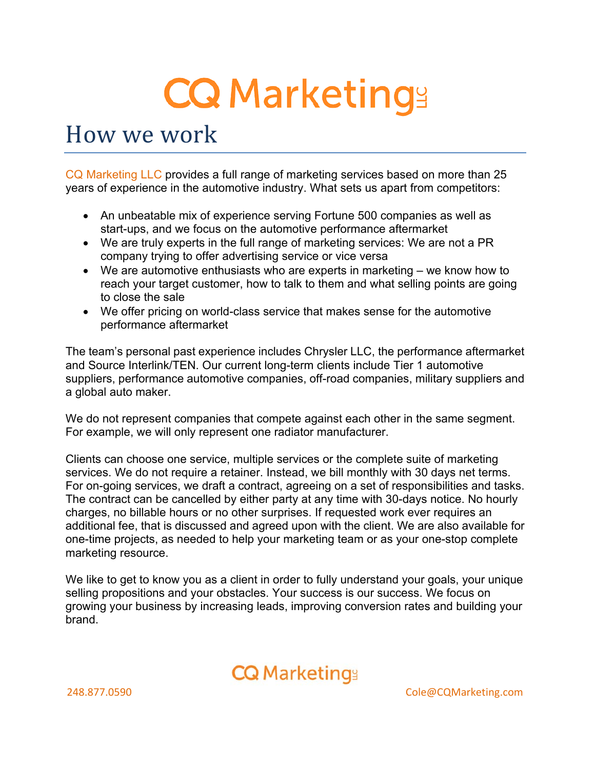# **CQ Marketings**

# How we work

CQ Marketing LLC provides a full range of marketing services based on more than 25 years of experience in the automotive industry. What sets us apart from competitors:

- An unbeatable mix of experience serving Fortune 500 companies as well as start-ups, and we focus on the automotive performance aftermarket
- We are truly experts in the full range of marketing services: We are not a PR company trying to offer advertising service or vice versa
- We are automotive enthusiasts who are experts in marketing we know how to reach your target customer, how to talk to them and what selling points are going to close the sale
- We offer pricing on world-class service that makes sense for the automotive performance aftermarket

The team's personal past experience includes Chrysler LLC, the performance aftermarket and Source Interlink/TEN. Our current long-term clients include Tier 1 automotive suppliers, performance automotive companies, off-road companies, military suppliers and a global auto maker.

We do not represent companies that compete against each other in the same segment. For example, we will only represent one radiator manufacturer.

Clients can choose one service, multiple services or the complete suite of marketing services. We do not require a retainer. Instead, we bill monthly with 30 days net terms. For on-going services, we draft a contract, agreeing on a set of responsibilities and tasks. The contract can be cancelled by either party at any time with 30-days notice. No hourly charges, no billable hours or no other surprises. If requested work ever requires an additional fee, that is discussed and agreed upon with the client. We are also available for one-time projects, as needed to help your marketing team or as your one-stop complete marketing resource.

We like to get to know you as a client in order to fully understand your goals, your unique selling propositions and your obstacles. Your success is our success. We focus on growing your business by increasing leads, improving conversion rates and building your brand.

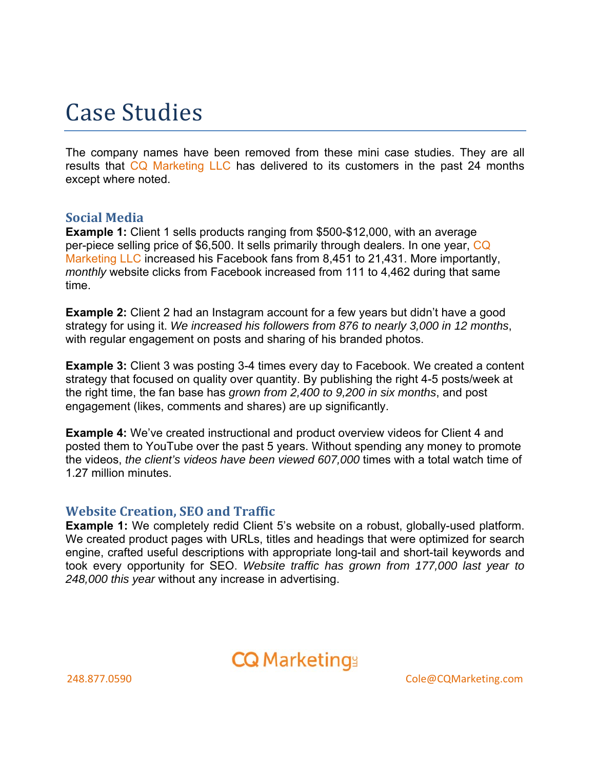# Case Studies

The company names have been removed from these mini case studies. They are all results that CQ Marketing LLC has delivered to its customers in the past 24 months except where noted.

### **Social Media**

**Example 1:** Client 1 sells products ranging from \$500-\$12,000, with an average per-piece selling price of \$6,500. It sells primarily through dealers. In one year, CQ Marketing LLC increased his Facebook fans from 8,451 to 21,431. More importantly, *monthly* website clicks from Facebook increased from 111 to 4,462 during that same time.

**Example 2:** Client 2 had an Instagram account for a few years but didn't have a good strategy for using it. *We increased his followers from 876 to nearly 3,000 in 12 months*, with regular engagement on posts and sharing of his branded photos.

**Example 3:** Client 3 was posting 3-4 times every day to Facebook. We created a content strategy that focused on quality over quantity. By publishing the right 4-5 posts/week at the right time, the fan base has *grown from 2,400 to 9,200 in six months*, and post engagement (likes, comments and shares) are up significantly.

**Example 4:** We've created instructional and product overview videos for Client 4 and posted them to YouTube over the past 5 years. Without spending any money to promote the videos, *the client's videos have been viewed 607,000* times with a total watch time of 1.27 million minutes.

#### **Website Creation, SEO and Traffic**

**Example 1:** We completely redid Client 5's website on a robust, globally-used platform. We created product pages with URLs, titles and headings that were optimized for search engine, crafted useful descriptions with appropriate long-tail and short-tail keywords and took every opportunity for SEO. *Website traffic has grown from 177,000 last year to 248,000 this year* without any increase in advertising.

### **CQ Marketings**

248.877.0590 Cole@CQMarketing.com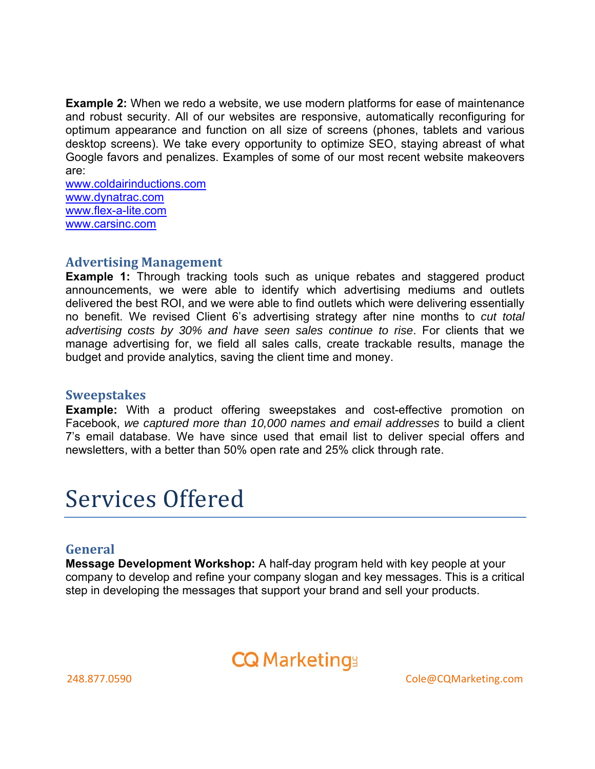**Example 2:** When we redo a website, we use modern platforms for ease of maintenance and robust security. All of our websites are responsive, automatically reconfiguring for optimum appearance and function on all size of screens (phones, tablets and various desktop screens). We take every opportunity to optimize SEO, staying abreast of what Google favors and penalizes. Examples of some of our most recent website makeovers are:

www.coldairinductions.com www.dynatrac.com www.flex-a-lite.com www.carsinc.com

#### **Advertising Management**

**Example 1:** Through tracking tools such as unique rebates and staggered product announcements, we were able to identify which advertising mediums and outlets delivered the best ROI, and we were able to find outlets which were delivering essentially no benefit. We revised Client 6's advertising strategy after nine months to *cut total advertising costs by 30% and have seen sales continue to rise*. For clients that we manage advertising for, we field all sales calls, create trackable results, manage the budget and provide analytics, saving the client time and money.

#### **Sweepstakes**

**Example:** With a product offering sweepstakes and cost-effective promotion on Facebook, *we captured more than 10,000 names and email addresses* to build a client 7's email database. We have since used that email list to deliver special offers and newsletters, with a better than 50% open rate and 25% click through rate.

# Services Offered

#### **General**

**Message Development Workshop:** A half-day program held with key people at your company to develop and refine your company slogan and key messages. This is a critical step in developing the messages that support your brand and sell your products.

### **CQ Marketings**

248.877.0590 Cole@CQMarketing.com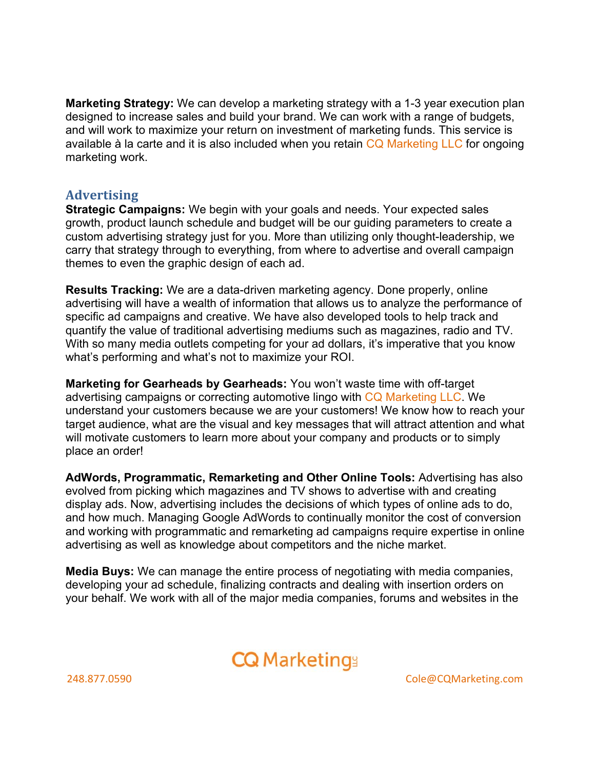**Marketing Strategy:** We can develop a marketing strategy with a 1-3 year execution plan designed to increase sales and build your brand. We can work with a range of budgets, and will work to maximize your return on investment of marketing funds. This service is available à la carte and it is also included when you retain CQ Marketing LLC for ongoing marketing work.

### **Advertising**

**Strategic Campaigns:** We begin with your goals and needs. Your expected sales growth, product launch schedule and budget will be our guiding parameters to create a custom advertising strategy just for you. More than utilizing only thought-leadership, we carry that strategy through to everything, from where to advertise and overall campaign themes to even the graphic design of each ad.

**Results Tracking:** We are a data-driven marketing agency. Done properly, online advertising will have a wealth of information that allows us to analyze the performance of specific ad campaigns and creative. We have also developed tools to help track and quantify the value of traditional advertising mediums such as magazines, radio and TV. With so many media outlets competing for your ad dollars, it's imperative that you know what's performing and what's not to maximize your ROI.

**Marketing for Gearheads by Gearheads:** You won't waste time with off-target advertising campaigns or correcting automotive lingo with CQ Marketing LLC. We understand your customers because we are your customers! We know how to reach your target audience, what are the visual and key messages that will attract attention and what will motivate customers to learn more about your company and products or to simply place an order!

**AdWords, Programmatic, Remarketing and Other Online Tools:** Advertising has also evolved from picking which magazines and TV shows to advertise with and creating display ads. Now, advertising includes the decisions of which types of online ads to do, and how much. Managing Google AdWords to continually monitor the cost of conversion and working with programmatic and remarketing ad campaigns require expertise in online advertising as well as knowledge about competitors and the niche market.

**Media Buys:** We can manage the entire process of negotiating with media companies, developing your ad schedule, finalizing contracts and dealing with insertion orders on your behalf. We work with all of the major media companies, forums and websites in the

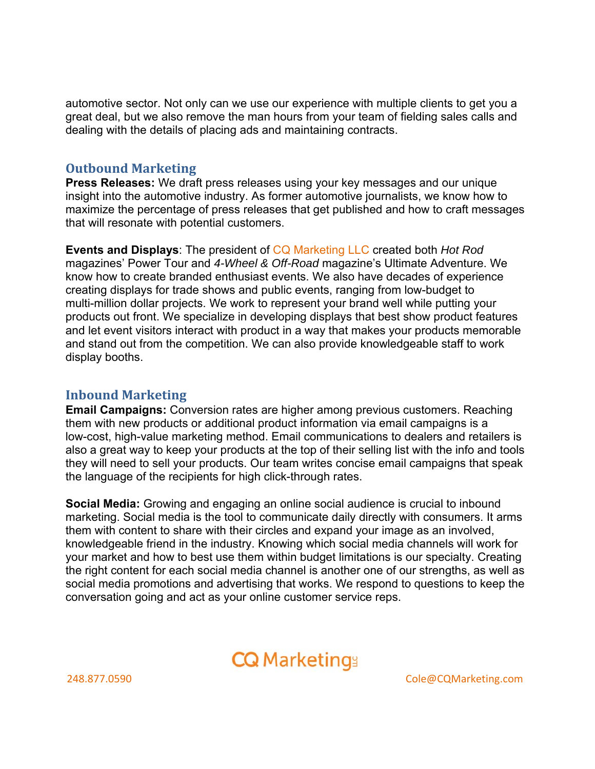automotive sector. Not only can we use our experience with multiple clients to get you a great deal, but we also remove the man hours from your team of fielding sales calls and dealing with the details of placing ads and maintaining contracts.

### **Outbound Marketing**

**Press Releases:** We draft press releases using your key messages and our unique insight into the automotive industry. As former automotive journalists, we know how to maximize the percentage of press releases that get published and how to craft messages that will resonate with potential customers.

**Events and Displays**: The president of CQ Marketing LLC created both *Hot Rod* magazines' Power Tour and *4-Wheel & Off-Road* magazine's Ultimate Adventure. We know how to create branded enthusiast events. We also have decades of experience creating displays for trade shows and public events, ranging from low-budget to multi-million dollar projects. We work to represent your brand well while putting your products out front. We specialize in developing displays that best show product features and let event visitors interact with product in a way that makes your products memorable and stand out from the competition. We can also provide knowledgeable staff to work display booths.

### **Inbound Marketing**

**Email Campaigns:** Conversion rates are higher among previous customers. Reaching them with new products or additional product information via email campaigns is a low-cost, high-value marketing method. Email communications to dealers and retailers is also a great way to keep your products at the top of their selling list with the info and tools they will need to sell your products. Our team writes concise email campaigns that speak the language of the recipients for high click-through rates.

**Social Media:** Growing and engaging an online social audience is crucial to inbound marketing. Social media is the tool to communicate daily directly with consumers. It arms them with content to share with their circles and expand your image as an involved, knowledgeable friend in the industry. Knowing which social media channels will work for your market and how to best use them within budget limitations is our specialty. Creating the right content for each social media channel is another one of our strengths, as well as social media promotions and advertising that works. We respond to questions to keep the conversation going and act as your online customer service reps.

### **CQ Marketings**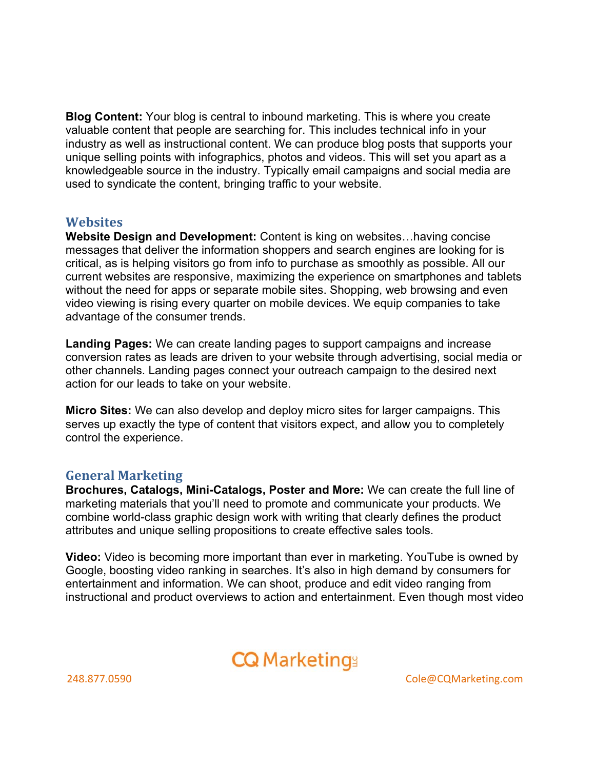**Blog Content:** Your blog is central to inbound marketing. This is where you create valuable content that people are searching for. This includes technical info in your industry as well as instructional content. We can produce blog posts that supports your unique selling points with infographics, photos and videos. This will set you apart as a knowledgeable source in the industry. Typically email campaigns and social media are used to syndicate the content, bringing traffic to your website.

### **Websites**

**Website Design and Development:** Content is king on websites…having concise messages that deliver the information shoppers and search engines are looking for is critical, as is helping visitors go from info to purchase as smoothly as possible. All our current websites are responsive, maximizing the experience on smartphones and tablets without the need for apps or separate mobile sites. Shopping, web browsing and even video viewing is rising every quarter on mobile devices. We equip companies to take advantage of the consumer trends.

**Landing Pages:** We can create landing pages to support campaigns and increase conversion rates as leads are driven to your website through advertising, social media or other channels. Landing pages connect your outreach campaign to the desired next action for our leads to take on your website.

**Micro Sites:** We can also develop and deploy micro sites for larger campaigns. This serves up exactly the type of content that visitors expect, and allow you to completely control the experience.

### **General Marketing**

**Brochures, Catalogs, Mini-Catalogs, Poster and More:** We can create the full line of marketing materials that you'll need to promote and communicate your products. We combine world-class graphic design work with writing that clearly defines the product attributes and unique selling propositions to create effective sales tools.

**Video:** Video is becoming more important than ever in marketing. YouTube is owned by Google, boosting video ranking in searches. It's also in high demand by consumers for entertainment and information. We can shoot, produce and edit video ranging from instructional and product overviews to action and entertainment. Even though most video